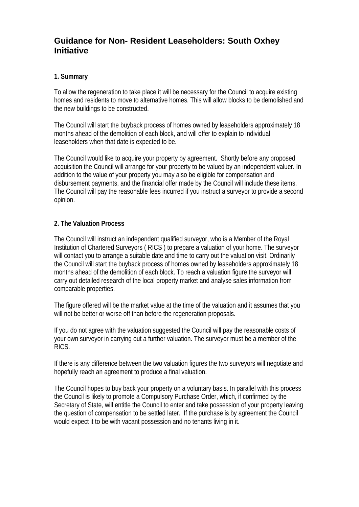# **Guidance for Non- Resident Leaseholders: South Oxhey Initiative**

### **1. Summary**

To allow the regeneration to take place it will be necessary for the Council to acquire existing homes and residents to move to alternative homes. This will allow blocks to be demolished and the new buildings to be constructed.

The Council will start the buyback process of homes owned by leaseholders approximately 18 months ahead of the demolition of each block, and will offer to explain to individual leaseholders when that date is expected to be.

The Council would like to acquire your property by agreement. Shortly before any proposed acquisition the Council will arrange for your property to be valued by an independent valuer. In addition to the value of your property you may also be eligible for compensation and disbursement payments, and the financial offer made by the Council will include these items. The Council will pay the reasonable fees incurred if you instruct a surveyor to provide a second opinion.

# **2. The Valuation Process**

The Council will instruct an independent qualified surveyor, who is a Member of the Royal Institution of Chartered Surveyors ( RICS ) to prepare a valuation of your home. The surveyor will contact you to arrange a suitable date and time to carry out the valuation visit. Ordinarily the Council will start the buyback process of homes owned by leaseholders approximately 18 months ahead of the demolition of each block. To reach a valuation figure the surveyor will carry out detailed research of the local property market and analyse sales information from comparable properties.

The figure offered will be the market value at the time of the valuation and it assumes that you will not be better or worse off than before the regeneration proposals.

If you do not agree with the valuation suggested the Council will pay the reasonable costs of your own surveyor in carrying out a further valuation. The surveyor must be a member of the RICS.

If there is any difference between the two valuation figures the two surveyors will negotiate and hopefully reach an agreement to produce a final valuation.

The Council hopes to buy back your property on a voluntary basis. In parallel with this process the Council is likely to promote a Compulsory Purchase Order, which, if confirmed by the Secretary of State, will entitle the Council to enter and take possession of your property leaving the question of compensation to be settled later. If the purchase is by agreement the Council would expect it to be with vacant possession and no tenants living in it.